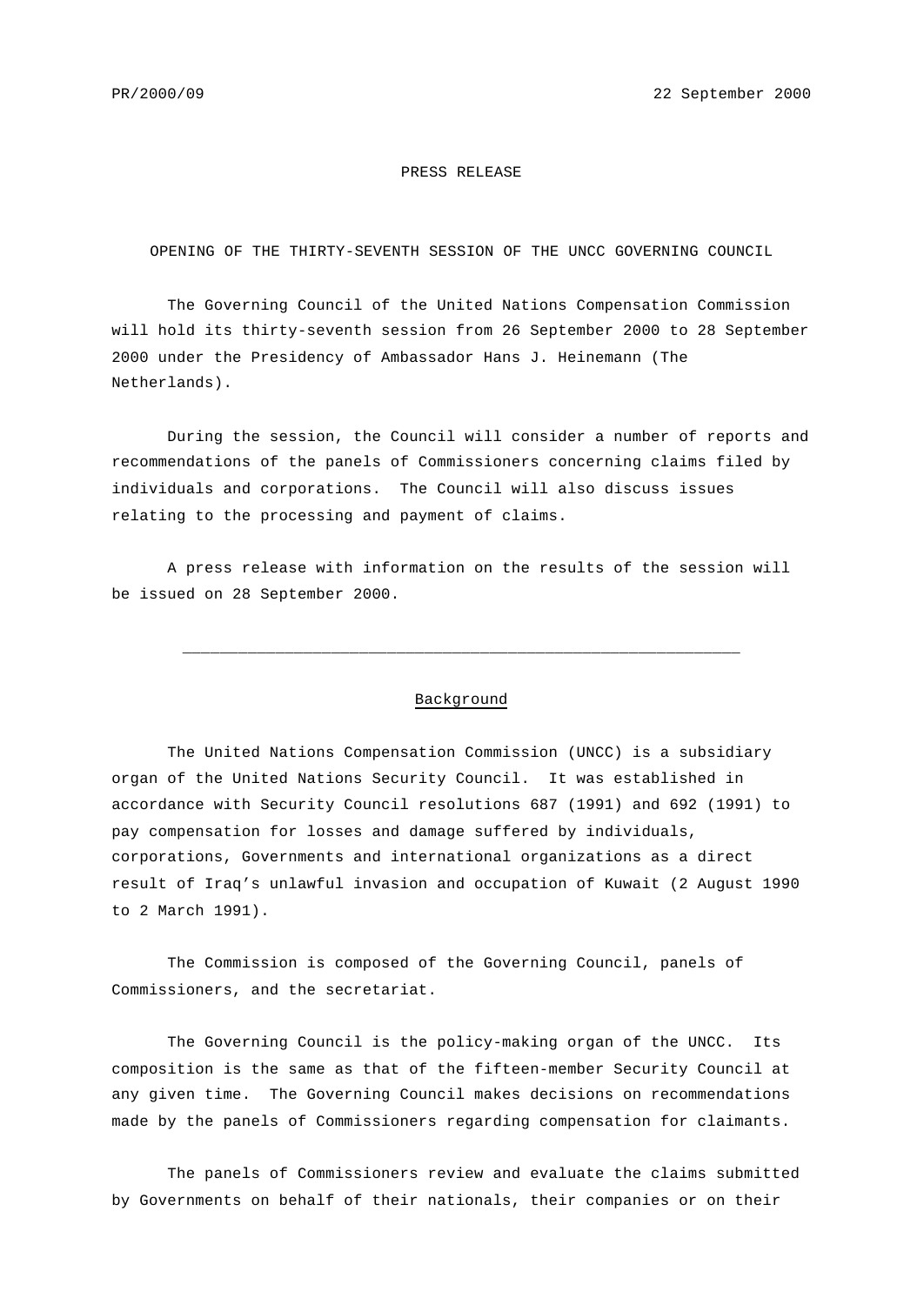## PRESS RELEASE

OPENING OF THE THIRTY-SEVENTH SESSION OF THE UNCC GOVERNING COUNCIL

The Governing Council of the United Nations Compensation Commission will hold its thirty-seventh session from 26 September 2000 to 28 September 2000 under the Presidency of Ambassador Hans J. Heinemann (The Netherlands).

During the session, the Council will consider a number of reports and recommendations of the panels of Commissioners concerning claims filed by individuals and corporations. The Council will also discuss issues relating to the processing and payment of claims.

A press release with information on the results of the session will be issued on 28 September 2000.

## Background

\_\_\_\_\_\_\_\_\_\_\_\_\_\_\_\_\_\_\_\_\_\_\_\_\_\_\_\_\_\_\_\_\_\_\_\_\_\_\_\_\_\_\_\_\_\_\_\_\_\_\_\_\_\_\_\_\_\_\_\_

The United Nations Compensation Commission (UNCC) is a subsidiary organ of the United Nations Security Council. It was established in accordance with Security Council resolutions 687 (1991) and 692 (1991) to pay compensation for losses and damage suffered by individuals, corporations, Governments and international organizations as a direct result of Iraq's unlawful invasion and occupation of Kuwait (2 August 1990 to 2 March 1991).

The Commission is composed of the Governing Council, panels of Commissioners, and the secretariat.

The Governing Council is the policy-making organ of the UNCC. Its composition is the same as that of the fifteen-member Security Council at any given time. The Governing Council makes decisions on recommendations made by the panels of Commissioners regarding compensation for claimants.

The panels of Commissioners review and evaluate the claims submitted by Governments on behalf of their nationals, their companies or on their